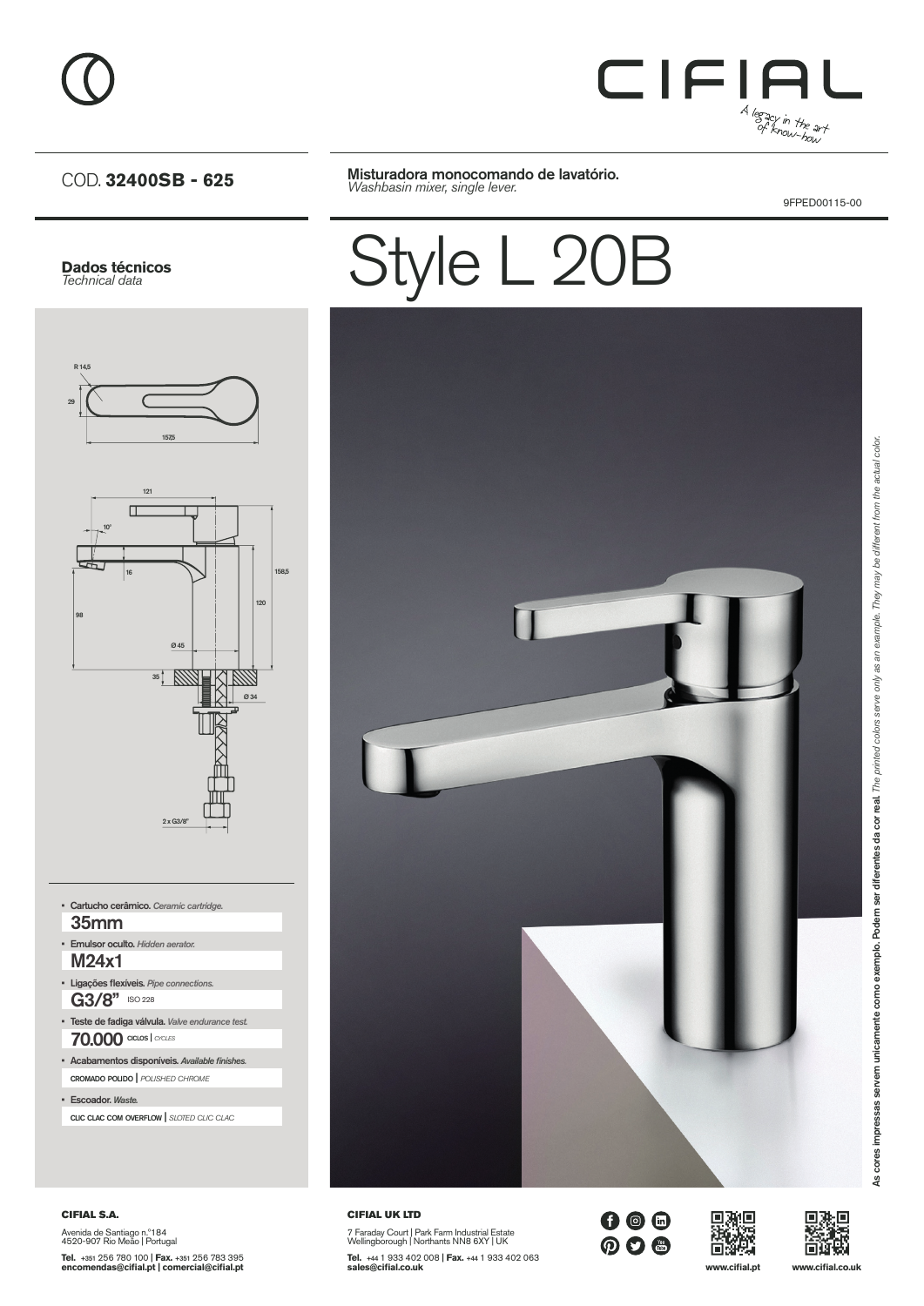

#### COD. **32400SB - 625**

Misturadora monocomando de lavatório. *Washbasin mixer, single lever.*

9FPED00115-00

## **Dados técnicos** *Technical data* R 14,529 1575 121  $\Box$ 10º 16 158,5 120 98 Ø 45  $35 | W$ KIWA Ø 34  $2 \times$  G3/8"

G3/8" ISO 228 • Ligações flexíveis. *Pipe connections.* 70.000 ciclos | *cycles* • Teste de fadiga válvula. *Valve endurance test.* cromado polido | *polished chrome* • Acabamentos disponíveis. *Available finishes.* • Escoador. *Waste.* M24x1 • Emulsor oculto. *Hidden aerator.* 35mm • Cartucho cerâmico. *Ceramic cartridge.*

clic clac com overflow | *sloted clic clac*

#### CIFIAL S.A. Avenida de Santiago n.º184 4520-907 Rio Meão | Portugal

**Tel.** +351 256 780 100 | **Fax.** +351 256 783 395 **encomendas@cifial.pt | comercial@cifial.pt**

# Style L 20B



CIFIAL UK LTD 7 Faraday Court | Park Farm Industrial Estate Wellingborough | Northants NN8 6XY | UK **Tel.** +44 1 933 402 008 | **Fax.** +44 1 933 402 063 **sales@cifial.co.uk www.cifial.pt www.cifial.co.uk**